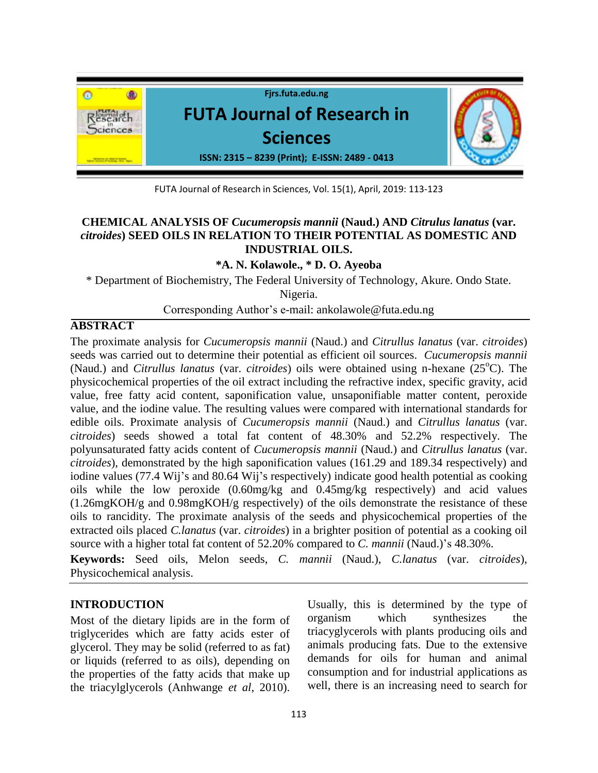

FUTA Journal of Research in Sciences, Vol. 15(1), April, 2019: 113-123

# **CHEMICAL ANALYSIS OF** *Cucumeropsis mannii* **(Naud.) AND** *Citrulus lanatus* **(var.**  *citroides***) SEED OILS IN RELATION TO THEIR POTENTIAL AS DOMESTIC AND INDUSTRIAL OILS.**

**\*A. N. Kolawole., \* D. O. Ayeoba**

\* Department of Biochemistry, The Federal University of Technology, Akure. Ondo State. Nigeria.

Corresponding Author's e-mail: ankolawole@futa.edu.ng

# **ABSTRACT**

The proximate analysis for *Cucumeropsis mannii* (Naud.) and *Citrullus lanatus* (var. *citroides*) seeds was carried out to determine their potential as efficient oil sources. *Cucumeropsis mannii* (Naud.) and *Citrullus lanatus* (var. *citroides*) oils were obtained using n-hexane (25<sup>o</sup>C). The physicochemical properties of the oil extract including the refractive index, specific gravity, acid value, free fatty acid content, saponification value, unsaponifiable matter content, peroxide value, and the iodine value. The resulting values were compared with international standards for edible oils. Proximate analysis of *Cucumeropsis mannii* (Naud.) and *Citrullus lanatus* (var. *citroides*) seeds showed a total fat content of 48.30% and 52.2% respectively. The polyunsaturated fatty acids content of *Cucumeropsis mannii* (Naud.) and *Citrullus lanatus* (var. *citroides*), demonstrated by the high saponification values (161.29 and 189.34 respectively) and iodine values (77.4 Wij's and 80.64 Wij's respectively) indicate good health potential as cooking oils while the low peroxide (0.60mg/kg and 0.45mg/kg respectively) and acid values (1.26mgKOH/g and 0.98mgKOH/g respectively) of the oils demonstrate the resistance of these oils to rancidity. The proximate analysis of the seeds and physicochemical properties of the extracted oils placed *C.lanatus* (var. *citroides*) in a brighter position of potential as a cooking oil source with a higher total fat content of 52.20% compared to *C. mannii* (Naud.)'s 48.30%.

**Keywords:** Seed oils, Melon seeds, *C. mannii* (Naud.), *C.lanatus* (var. *citroides*), Physicochemical analysis.

# **INTRODUCTION**

Most of the dietary lipids are in the form of triglycerides which are fatty acids ester of glycerol. They may be solid (referred to as fat) or liquids (referred to as oils), depending on the properties of the fatty acids that make up the triacylglycerols (Anhwange *et al*, 2010).

Usually, this is determined by the type of organism which synthesizes the triacyglycerols with plants producing oils and animals producing fats. Due to the extensive demands for oils for human and animal consumption and for industrial applications as well, there is an increasing need to search for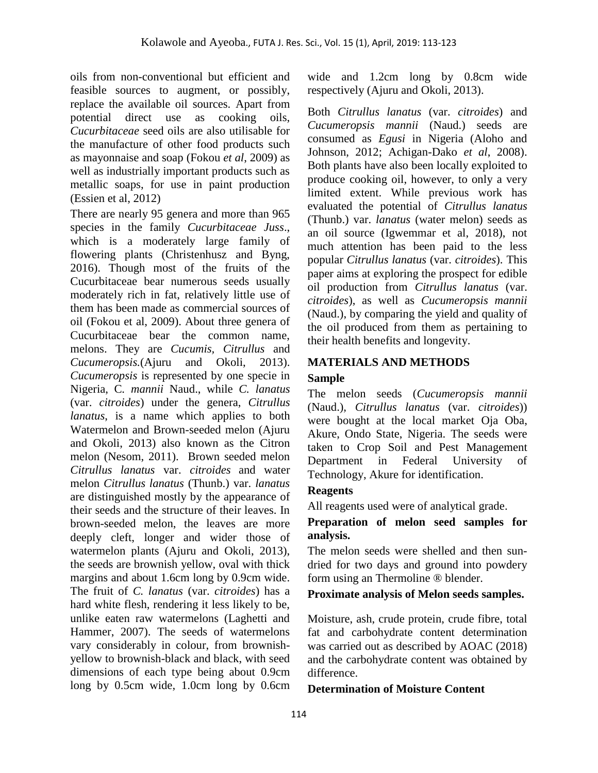oils from non-conventional but efficient and feasible sources to augment, or possibly, replace the available oil sources. Apart from potential direct use as cooking oils, *Cucurbitaceae* seed oils are also utilisable for the manufacture of other food products such as mayonnaise and soap (Fokou *et al*, 2009) as well as industrially important products such as metallic soaps, for use in paint production (Essien et al, 2012)

There are nearly 95 genera and more than 965 species in the family *Cucurbitaceae Juss*., which is a moderately large family of flowering plants (Christenhusz and Byng, 2016). Though most of the fruits of the Cucurbitaceae bear numerous seeds usually moderately rich in fat, relatively little use of them has been made as commercial sources of oil (Fokou et al, 2009). About three genera of Cucurbitaceae bear the common name, melons. They are *Cucumis, Citrullus* and *Cucumeropsis.*(Ajuru and Okoli, 2013). *Cucumeropsis* is represented by one specie in Nigeria, C*. mannii* Naud., while *C. lanatus* (var. *citroides*) under the genera, *Citrullus lanatus*, is a name which applies to both Watermelon and Brown-seeded melon (Ajuru and Okoli, 2013) also known as the Citron melon (Nesom, 2011). Brown seeded melon *Citrullus lanatus* var. *citroides* and water melon *Citrullus lanatus* (Thunb.) var. *lanatus*  are distinguished mostly by the appearance of their seeds and the structure of their leaves. In brown-seeded melon, the leaves are more deeply cleft, longer and wider those of watermelon plants (Ajuru and Okoli, 2013), the seeds are brownish yellow, oval with thick margins and about 1.6cm long by 0.9cm wide. The fruit of *C. lanatus* (var. *citroides*) has a hard white flesh, rendering it less likely to be, unlike eaten raw watermelons (Laghetti and Hammer, 2007). The seeds of watermelons vary considerably in colour, from brownishyellow to brownish-black and black, with seed dimensions of each type being about 0.9cm long by 0.5cm wide, 1.0cm long by 0.6cm

wide and 1.2cm long by 0.8cm wide respectively (Ajuru and Okoli, 2013).

Both *Citrullus lanatus* (var. *citroides*) and *Cucumeropsis mannii* (Naud.) seeds are consumed as *Egusi* in Nigeria (Aloho and Johnson, 2012; Achigan-Dako *et al*, 2008). Both plants have also been locally exploited to produce cooking oil, however, to only a very limited extent. While previous work has evaluated the potential of *Citrullus lanatus* (Thunb.) var. *lanatus* (water melon) seeds as an oil source (Igwemmar et al, 2018), not much attention has been paid to the less popular *Citrullus lanatus* (var. *citroides*). This paper aims at exploring the prospect for edible oil production from *Citrullus lanatus* (var. *citroides*), as well as *Cucumeropsis mannii*  (Naud.), by comparing the yield and quality of the oil produced from them as pertaining to their health benefits and longevity.

# **MATERIALS AND METHODS**

# **Sample**

The melon seeds (*Cucumeropsis mannii* (Naud.)*, Citrullus lanatus* (var. *citroides*)) were bought at the local market Oja Oba, Akure, Ondo State, Nigeria. The seeds were taken to Crop Soil and Pest Management Department in Federal University of Technology, Akure for identification.

# **Reagents**

All reagents used were of analytical grade.

# **Preparation of melon seed samples for analysis.**

The melon seeds were shelled and then sundried for two days and ground into powdery form using an Thermoline ® blender.

# **Proximate analysis of Melon seeds samples.**

Moisture, ash, crude protein, crude fibre, total fat and carbohydrate content determination was carried out as described by AOAC (2018) and the carbohydrate content was obtained by difference.

# **Determination of Moisture Content**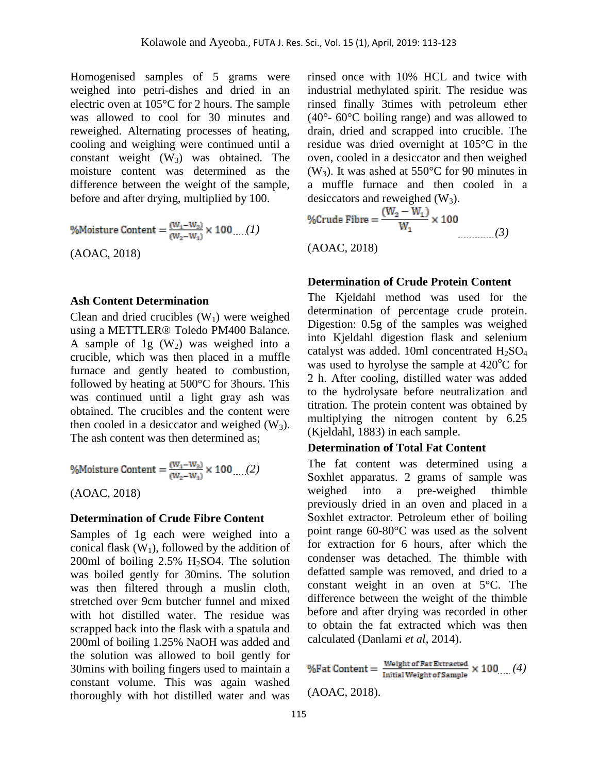Homogenised samples of 5 grams were weighed into petri-dishes and dried in an electric oven at 105°C for 2 hours. The sample was allowed to cool for 30 minutes and reweighed. Alternating processes of heating, cooling and weighing were continued until a constant weight  $(W_3)$  was obtained. The moisture content was determined as the difference between the weight of the sample, before and after drying, multiplied by 100.

%Moisture Content = 
$$
\frac{(W_1 - W_3)}{(W_2 - W_1)} \times 100
$$
...(1)  
(AOAC, 2018)

#### **Ash Content Determination**

Clean and dried crucibles  $(W_1)$  were weighed using a METTLER® Toledo PM400 Balance. A sample of 1g  $(W_2)$  was weighed into a crucible, which was then placed in a muffle furnace and gently heated to combustion, followed by heating at 500°C for 3hours. This was continued until a light gray ash was obtained. The crucibles and the content were then cooled in a desiccator and weighed  $(W_3)$ . The ash content was then determined as;

%Moisture Content = 
$$
\frac{(W_1-W_3)}{(W_2-W_1)} \times 100 \dots (2)
$$

(AOAC, 2018)

#### **Determination of Crude Fibre Content**

Samples of 1g each were weighed into a conical flask  $(W_1)$ , followed by the addition of 200ml of boiling  $2.5\%$  H<sub>2</sub>SO4. The solution was boiled gently for 30mins. The solution was then filtered through a muslin cloth, stretched over 9cm butcher funnel and mixed with hot distilled water. The residue was scrapped back into the flask with a spatula and 200ml of boiling 1.25% NaOH was added and the solution was allowed to boil gently for 30mins with boiling fingers used to maintain a constant volume. This was again washed thoroughly with hot distilled water and was

rinsed once with 10% HCL and twice with industrial methylated spirit. The residue was rinsed finally 3times with petroleum ether (40°- 60°C boiling range) and was allowed to drain, dried and scrapped into crucible. The residue was dried overnight at 105°C in the oven, cooled in a desiccator and then weighed  $(W_3)$ . It was ashed at 550°C for 90 minutes in a muffle furnace and then cooled in a desiccators and reweighed  $(W_3)$ .

%Crude Fibre = 
$$
\frac{(W_2 - W_1)}{W_1} \times 100
$$
 (AOAC, 2018) (40AC, 2018) (3)

#### **Determination of Crude Protein Content**

The Kjeldahl method was used for the determination of percentage crude protein. Digestion: 0.5g of the samples was weighed into Kjeldahl digestion flask and selenium catalyst was added. 10ml concentrated  $H<sub>2</sub>SO<sub>4</sub>$ was used to hyrolyse the sample at  $420^{\circ}$ C for 2 h. After cooling, distilled water was added to the hydrolysate before neutralization and titration. The protein content was obtained by multiplying the nitrogen content by 6.25 (Kjeldahl, 1883) in each sample.

#### **Determination of Total Fat Content**

The fat content was determined using a Soxhlet apparatus. 2 grams of sample was weighed into a pre-weighed thimble previously dried in an oven and placed in a Soxhlet extractor. Petroleum ether of boiling point range 60-80°C was used as the solvent for extraction for 6 hours, after which the condenser was detached. The thimble with defatted sample was removed, and dried to a constant weight in an oven at 5°C. The difference between the weight of the thimble before and after drying was recorded in other to obtain the fat extracted which was then calculated (Danlami *et al*, 2014).

%Fat Content =  $\frac{\text{Weight of Fat Extracted}}{\text{Initial Weight of Sample}} \times 100 \dots (4)$ (AOAC, 2018).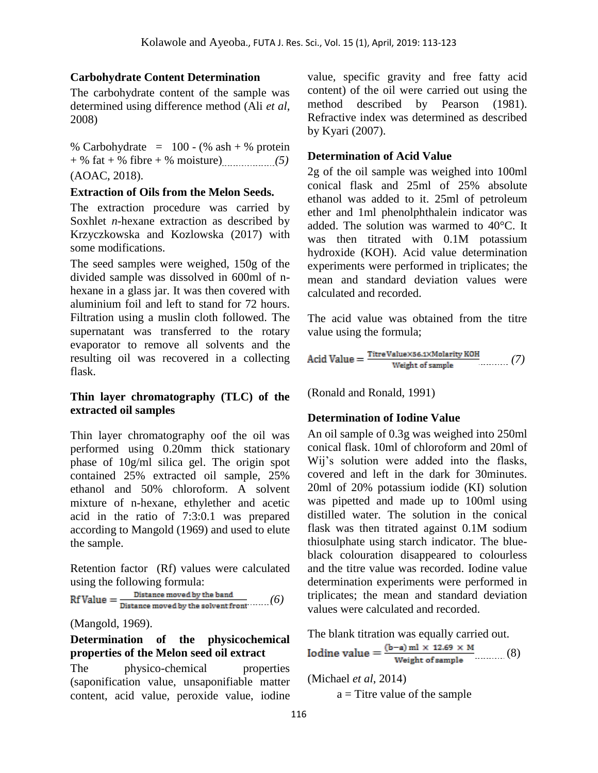# **Carbohydrate Content Determination**

The carbohydrate content of the sample was determined using difference method (Ali *et al*, 2008)

% Carbohydrate =  $100 - (% \text{ ash} + % \text{ protein})$ + % fat + % fibre + % moisture) *(5)* (AOAC, 2018).

#### **Extraction of Oils from the Melon Seeds.**

The extraction procedure was carried by Soxhlet *n*-hexane extraction as described by Krzyczkowska and Kozlowska (2017) with some modifications.

The seed samples were weighed, 150g of the divided sample was dissolved in 600ml of nhexane in a glass jar. It was then covered with aluminium foil and left to stand for 72 hours. Filtration using a muslin cloth followed. The supernatant was transferred to the rotary evaporator to remove all solvents and the resulting oil was recovered in a collecting flask.

#### **Thin layer chromatography (TLC) of the extracted oil samples**

Thin layer chromatography oof the oil was performed using 0.20mm thick stationary phase of 10g/ml silica gel. The origin spot contained 25% extracted oil sample, 25% ethanol and 50% chloroform. A solvent mixture of n-hexane, ethylether and acetic acid in the ratio of 7:3:0.1 was prepared according to Mangold (1969) and used to elute the sample.

Retention factor (Rf) values were calculated using the following formula:

$$
\text{Rf Value} = \frac{\text{Distance moved by the band}}{\text{Distance moved by the solvent front}} \qquad (6)
$$

(Mangold, 1969).

# **Determination of the physicochemical properties of the Melon seed oil extract**

The physico-chemical properties (saponification value, unsaponifiable matter content, acid value, peroxide value, iodine value, specific gravity and free fatty acid content) of the oil were carried out using the method described by Pearson (1981). Refractive index was determined as described by Kyari (2007).

# **Determination of Acid Value**

2g of the oil sample was weighed into 100ml conical flask and 25ml of 25% absolute ethanol was added to it. 25ml of petroleum ether and 1ml phenolphthalein indicator was added. The solution was warmed to 40°C. It was then titrated with 0.1M potassium hydroxide (KOH). Acid value determination experiments were performed in triplicates; the mean and standard deviation values were calculated and recorded.

The acid value was obtained from the titre value using the formula;

$$
Acid\ Value = \frac{\text{Time Value} \times \text{56.1} \times \text{Molarity KOH}}{\text{Weight of sample}} \qquad (7)
$$

(Ronald and Ronald, 1991)

# **Determination of Iodine Value**

An oil sample of 0.3g was weighed into 250ml conical flask. 10ml of chloroform and 20ml of Wij's solution were added into the flasks, covered and left in the dark for 30minutes. 20ml of 20% potassium iodide (KI) solution was pipetted and made up to 100ml using distilled water. The solution in the conical flask was then titrated against 0.1M sodium thiosulphate using starch indicator. The blueblack colouration disappeared to colourless and the titre value was recorded. Iodine value determination experiments were performed in triplicates; the mean and standard deviation values were calculated and recorded.

The blank titration was equally carried out.

Iodine value = 
$$
\frac{(b-a) m l \times 12.69 \times M}{Weight of sample}
$$
 (8)

(Michael *et al*, 2014)

 $a =$ Titre value of the sample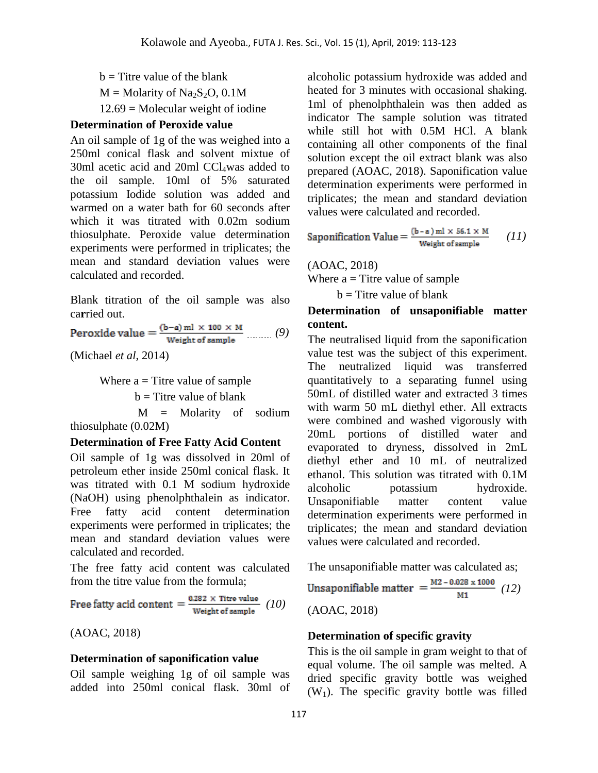$b =$  Titre value of the blank  $M =$ Molarity of Na<sub>2</sub>S<sub>2</sub>O, 0.1M  $12.69$  = Molecular weight of iodine

#### **Determination of Peroxide value**

An oil sample of 1g of the was weighed into a 250ml conical flask and solvent mixtue of 30ml acetic acid and 20ml  $CCl<sub>4</sub>was$  added to the oil sample. 10ml of 5% saturated potassium Iodide solution was added and warmed on a water bath for 60 seconds after which it was titrated with 0.02m sodium thiosulphate. Peroxide value determination experiments were performed in triplicates; the mean and standard deviation values were calculated and recorded.

Blank titration of the oil sample was also ca**r**ried out.

Peroxide value  $=$   $\frac{(b-a) ml \times 100 \times M}{Weight of sample}$  ......... (9)

(Michael *et al*, 2014)

Where  $a =$  Titre value of sample

 $b =$ Titre value of blank

 M = Molarity of sodium thiosulphate (0.02M)

#### **Determination of Free Fatty Acid Content**

Oil sample of 1g was dissolved in 20ml of petroleum ether inside 250ml conical flask. It was titrated with 0.1 M sodium hydroxide (NaOH) using phenolphthalein as indicator. Free fatty acid content determination experiments were performed in triplicates; the mean and standard deviation values were calculated and recorded.

The free fatty acid content was calculated from the titre value from the formula;

Free fatty acid content  $=$   $\frac{0.282 \times$  Titre value (10)

(AOAC, 2018)

#### **Determination of saponification value**

Oil sample weighing 1g of oil sample was added into 250ml conical flask. 30ml of alcoholic potassium hydroxide was added and heated for 3 minutes with occasional shaking. 1ml of phenolphthalein was then added as indicator The sample solution was titrated while still hot with 0.5M HCl. A blank containing all other components of the final solution except the oil extract blank was also prepared (AOAC, 2018). Saponification value determination experiments were performed in triplicates; the mean and standard deviation values were calculated and recorded.

Saponification Value = 
$$
\frac{(b-a) m l \times 56.1 \times M}{Weight of sample}
$$
 (11)

(AOAC, 2018) Where  $a =$  Titre value of sample

 $b =$ Titre value of blank

## **Determination of unsaponifiable matter content.**

The neutralised liquid from the saponification value test was the subject of this experiment. The neutralized liquid was transferred quantitatively to a separating funnel using 50mL of distilled water and extracted 3 times with warm 50 mL diethyl ether. All extracts were combined and washed vigorously with 20mL portions of distilled water and evaporated to dryness, dissolved in 2mL diethyl ether and 10 mL of neutralized ethanol. This solution was titrated with 0.1M alcoholic potassium hydroxide. Unsaponifiable matter content value determination experiments were performed in triplicates; the mean and standard deviation values were calculated and recorded.

The unsaponifiable matter was calculated as;

Unsaponifiable matter  $=$   $\frac{M2 - 0.028 \times 1000}{M1}$  (12)

(AOAC, 2018)

#### **Determination of specific gravity**

This is the oil sample in gram weight to that of equal volume. The oil sample was melted. A dried specific gravity bottle was weighed  $(W_1)$ . The specific gravity bottle was filled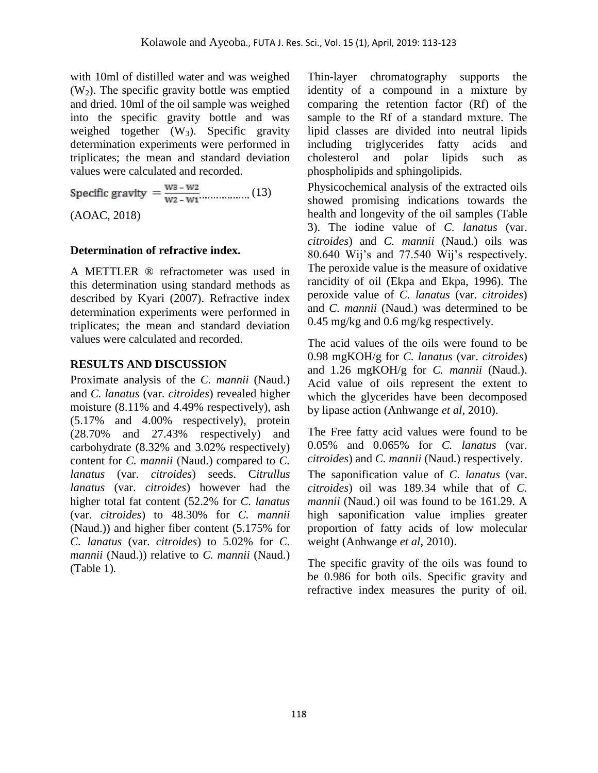with 10ml of distilled water and was weighed  $(W<sub>2</sub>)$ . The specific gravity bottle was emptied and dried. 10ml of the oil sample was weighed into the specific gravity bottle and was weighed together  $(W_3)$ . Specific gravity determination experiments were performed in triplicates; the mean and standard deviation values were calculated and recorded.

Specific gravity  $=\frac{W_3 - W_2}{W_2 - W_1}$  (13) (AOAC, 2018)

## **Determination of refractive index.**

A METTLER ® refractometer was used in this determination using standard methods as described by Kyari (2007). Refractive index determination experiments were performed in triplicates; the mean and standard deviation values were calculated and recorded.

## **RESULTS AND DISCUSSION**

Proximate analysis of the *C. mannii* (Naud.) and *C. lanatus* (var. *citroides*) revealed higher moisture (8.11% and 4.49% respectively), ash (5.17% and 4.00% respectively), protein (28.70% and 27.43% respectively) and carbohydrate (8.32% and 3.02% respectively) content for *C. mannii* (Naud.) compared to *C. lanatus* (var. *citroides*) seeds. C*itrullus lanatus* (var. *citroides*) however had the higher total fat content (52.2% for *C. lanatus* (var. *citroides*) to 48.30% for *C. mannii* (Naud.)) and higher fiber content (5.175% for *C. lanatus* (var. *citroides*) to 5.02% for *C. mannii* (Naud.)) relative to *C. mannii* (Naud.) (Table 1)*.*

Thin-layer chromatography supports the identity of a compound in a mixture by comparing the retention factor (Rf) of the sample to the Rf of a standard mxture. The lipid classes are divided into neutral lipids including triglycerides fatty acids and cholesterol and polar lipids such as phospholipids and sphingolipids.

Physicochemical analysis of the extracted oils showed promising indications towards the health and longevity of the oil samples (Table 3). The iodine value of *C. lanatus* (var. *citroides*) and *C. mannii* (Naud.) oils was 80.640 Wij's and 77.540 Wij's respectively. The peroxide value is the measure of oxidative rancidity of oil (Ekpa and Ekpa, 1996). The peroxide value of *C. lanatus* (var. *citroides*) and *C. mannii* (Naud.) was determined to be 0.45 mg/kg and 0.6 mg/kg respectively.

The acid values of the oils were found to be 0.98 mgKOH/g for *C. lanatus* (var. *citroides*) and 1.26 mgKOH/g for *C. mannii* (Naud.). Acid value of oils represent the extent to which the glycerides have been decomposed by lipase action (Anhwange *et al*, 2010).

The Free fatty acid values were found to be 0.05% and 0.065% for *C. lanatus* (var. *citroides*) and *C. mannii* (Naud.) respectively. The saponification value of *C. lanatus* (var. *citroides*) oil was 189.34 while that of *C. mannii* (Naud.) oil was found to be 161.29. A high saponification value implies greater proportion of fatty acids of low molecular weight (Anhwange *et al*, 2010).

The specific gravity of the oils was found to be 0.986 for both oils. Specific gravity and refractive index measures the purity of oil.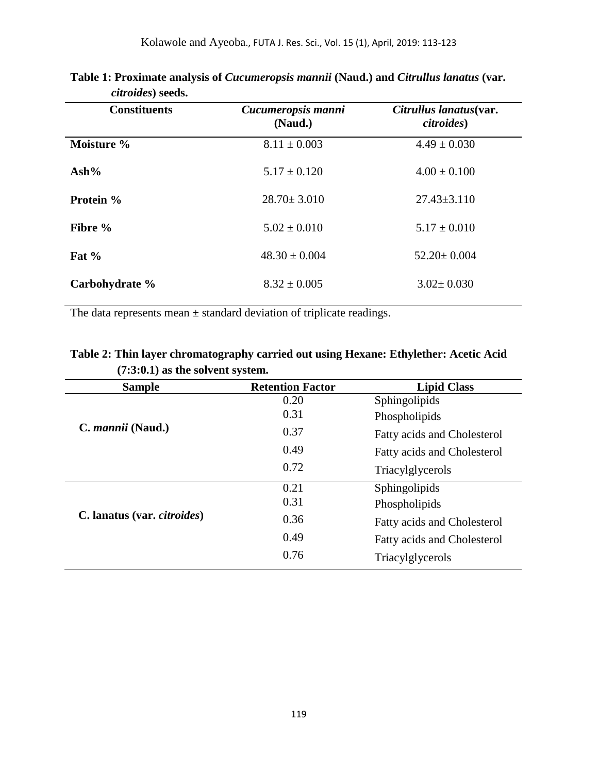| Cucumeropsis manni<br>(Naud.) | Citrullus lanatus(var.<br><i>citroides</i> ) |
|-------------------------------|----------------------------------------------|
| $8.11 \pm 0.003$              | $4.49 \pm 0.030$                             |
| $5.17 \pm 0.120$              | $4.00 \pm 0.100$                             |
| $28.70 \pm 3.010$             | $27.43 \pm 3.110$                            |
| $5.02 \pm 0.010$              | $5.17 \pm 0.010$                             |
| $48.30 \pm 0.004$             | $52.20 \pm 0.004$                            |
| $8.32 \pm 0.005$              | $3.02 \pm 0.030$                             |
|                               |                                              |

| Table 1: Proximate analysis of <i>Cucumeropsis mannii</i> (Naud.) and <i>Citrullus lanatus</i> (var. |  |  |
|------------------------------------------------------------------------------------------------------|--|--|
| <i>citroides</i> ) seeds.                                                                            |  |  |

The data represents mean ± standard deviation of triplicate readings.

| Table 2: Thin layer chromatography carried out using Hexane: Ethylether: Acetic Acid |  |
|--------------------------------------------------------------------------------------|--|
| $(7:3:0.1)$ as the solvent system.                                                   |  |

| <b>Sample</b>                       | <b>Retention Factor</b> | <b>Lipid Class</b>                 |
|-------------------------------------|-------------------------|------------------------------------|
| C. <i>mannii</i> (Naud.)            | 0.20                    | Sphingolipids                      |
|                                     | 0.31                    | Phospholipids                      |
|                                     | 0.37                    | <b>Fatty acids and Cholesterol</b> |
|                                     | 0.49                    | <b>Fatty acids and Cholesterol</b> |
|                                     | 0.72                    | Triacylglycerols                   |
| C. lanatus (var. <i>citroides</i> ) | 0.21                    | Sphingolipids                      |
|                                     | 0.31                    | Phospholipids                      |
|                                     | 0.36                    | <b>Fatty acids and Cholesterol</b> |
|                                     | 0.49                    | <b>Fatty acids and Cholesterol</b> |
|                                     | 0.76                    | Triacylglycerols                   |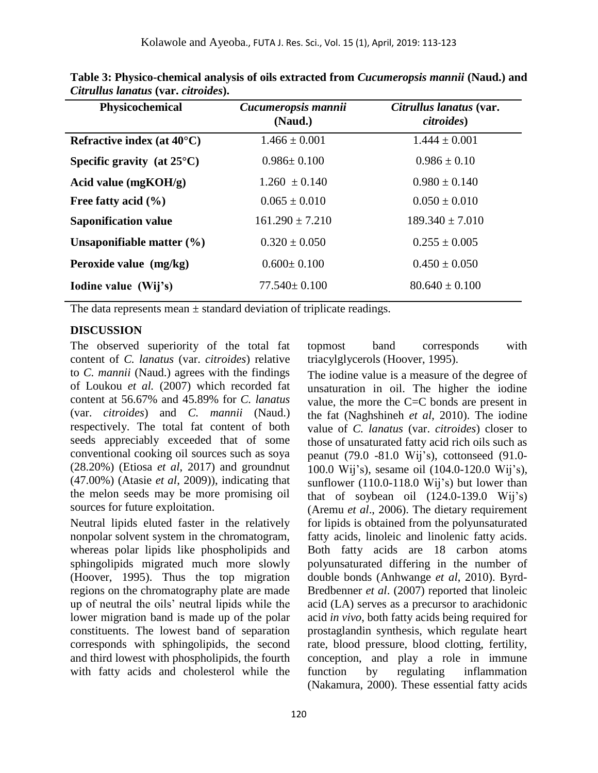| Physicochemical                      | Cucumeropsis mannii<br>(Naud.) | Citrullus lanatus (var.<br><i>citroides</i> ) |
|--------------------------------------|--------------------------------|-----------------------------------------------|
| Refractive index (at $40^{\circ}$ C) | $1.466 \pm 0.001$              | $1.444 \pm 0.001$                             |
| Specific gravity (at $25^{\circ}$ C) | $0.986 \pm 0.100$              | $0.986 \pm 0.10$                              |
| Acid value $(mgKOH/g)$               | $1.260 \pm 0.140$              | $0.980 \pm 0.140$                             |
| Free fatty acid $(\% )$              | $0.065 \pm 0.010$              | $0.050 \pm 0.010$                             |
| <b>Saponification value</b>          | $161.290 \pm 7.210$            | $189.340 \pm 7.010$                           |
| Unsaponifiable matter $(\% )$        | $0.320 \pm 0.050$              | $0.255 \pm 0.005$                             |
| Peroxide value (mg/kg)               | $0.600 \pm 0.100$              | $0.450 \pm 0.050$                             |
| Iodine value (Wij's)                 | $77.540 \pm 0.100$             | $80.640 \pm 0.100$                            |

**Table 3: Physico-chemical analysis of oils extracted from** *Cucumeropsis mannii* **(Naud.) and**  *Citrullus lanatus* **(var.** *citroides***).** 

The data represents mean  $\pm$  standard deviation of triplicate readings.

#### **DISCUSSION**

The observed superiority of the total fat content of *C. lanatus* (var. *citroides*) relative to *C. mannii* (Naud.) agrees with the findings of Loukou *et al.* (2007) which recorded fat content at 56.67% and 45.89% for *C. lanatus* (var. *citroides*) and *C. mannii* (Naud.) respectively. The total fat content of both seeds appreciably exceeded that of some conventional cooking oil sources such as soya (28.20%) (Etiosa *et al*, 2017) and groundnut (47.00%) (Atasie *et al*, 2009)), indicating that the melon seeds may be more promising oil sources for future exploitation.

Neutral lipids eluted faster in the relatively nonpolar solvent system in the chromatogram, whereas polar lipids like phospholipids and sphingolipids migrated much more slowly (Hoover, 1995). Thus the top migration regions on the chromatography plate are made up of neutral the oils' neutral lipids while the lower migration band is made up of the polar constituents. The lowest band of separation corresponds with sphingolipids, the second and third lowest with phospholipids, the fourth with fatty acids and cholesterol while the topmost band corresponds with triacylglycerols (Hoover, 1995).

The iodine value is a measure of the degree of unsaturation in oil. The higher the iodine value, the more the C=C bonds are present in the fat (Naghshineh *et al*, 2010). The iodine value of *C. lanatus* (var. *citroides*) closer to those of unsaturated fatty acid rich oils such as peanut (79.0 -81.0 Wij's), cottonseed (91.0- 100.0 Wij's), sesame oil (104.0-120.0 Wij's), sunflower (110.0-118.0 Wij's) but lower than that of soybean oil  $(124.0-139.0 \text{ Wij's})$ (Aremu *et al*., 2006). The dietary requirement for lipids is obtained from the polyunsaturated fatty acids, linoleic and linolenic fatty acids. Both fatty acids are 18 carbon atoms polyunsaturated differing in the number of double bonds (Anhwange *et al*, 2010). Byrd-Bredbenner *et al*. (2007) reported that linoleic acid (LA) serves as a precursor to arachidonic acid *in vivo*, both fatty acids being required for prostaglandin synthesis, which regulate heart rate, blood pressure, blood clotting, fertility, conception, and play a role in immune function by regulating inflammation (Nakamura, 2000). These essential fatty acids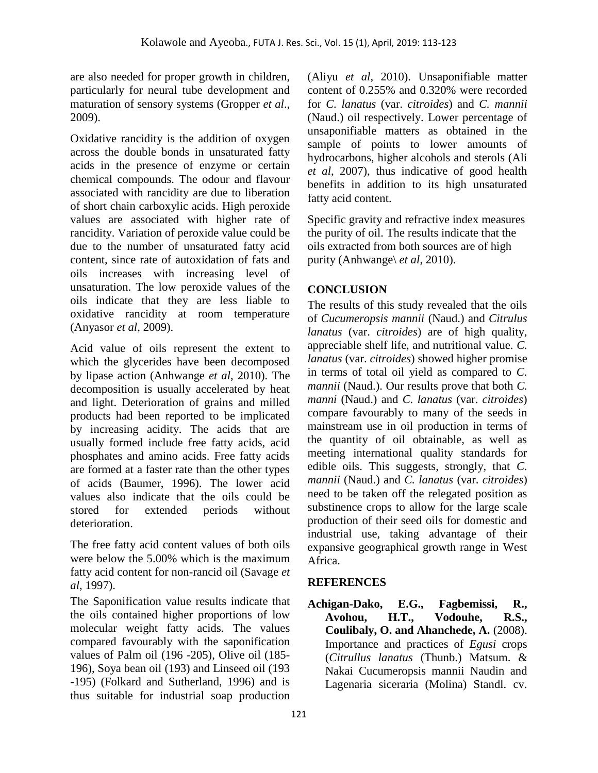are also needed for proper growth in children, particularly for neural tube development and maturation of sensory systems (Gropper *et al*., 2009).

Oxidative rancidity is the addition of oxygen across the double bonds in unsaturated fatty acids in the presence of enzyme or certain chemical compounds. The odour and flavour associated with rancidity are due to liberation of short chain carboxylic acids. High peroxide values are associated with higher rate of rancidity. Variation of peroxide value could be due to the number of unsaturated fatty acid content, since rate of autoxidation of fats and oils increases with increasing level of unsaturation. The low peroxide values of the oils indicate that they are less liable to oxidative rancidity at room temperature (Anyasor *et al*, 2009).

Acid value of oils represent the extent to which the glycerides have been decomposed by lipase action (Anhwange *et al*, 2010). The decomposition is usually accelerated by heat and light. Deterioration of grains and milled products had been reported to be implicated by increasing acidity. The acids that are usually formed include free fatty acids, acid phosphates and amino acids. Free fatty acids are formed at a faster rate than the other types of acids (Baumer, 1996). The lower acid values also indicate that the oils could be stored for extended periods without deterioration.

The free fatty acid content values of both oils were below the 5.00% which is the maximum fatty acid content for non-rancid oil (Savage *et al*, 1997).

The Saponification value results indicate that the oils contained higher proportions of low molecular weight fatty acids. The values compared favourably with the saponification values of Palm oil (196 -205), Olive oil (185- 196), Soya bean oil (193) and Linseed oil (193 -195) (Folkard and Sutherland, 1996) and is thus suitable for industrial soap production

(Aliyu *et al*, 2010). Unsaponifiable matter content of 0.255% and 0.320% were recorded for *C. lanatus* (var. *citroides*) and *C. mannii*  (Naud.) oil respectively. Lower percentage of unsaponifiable matters as obtained in the sample of points to lower amounts of hydrocarbons, higher alcohols and sterols (Ali *et al*, 2007), thus indicative of good health benefits in addition to its high unsaturated fatty acid content.

Specific gravity and refractive index measures the purity of oil. The results indicate that the oils extracted from both sources are of high purity (Anhwange\ *et al*, 2010).

# **CONCLUSION**

The results of this study revealed that the oils of *Cucumeropsis mannii* (Naud.) and *Citrulus lanatus* (var. *citroides*) are of high quality, appreciable shelf life, and nutritional value. *C. lanatus* (var. *citroides*) showed higher promise in terms of total oil yield as compared to *C. mannii* (Naud.). Our results prove that both *C. manni* (Naud.) and *C. lanatus* (var. *citroides*) compare favourably to many of the seeds in mainstream use in oil production in terms of the quantity of oil obtainable, as well as meeting international quality standards for edible oils. This suggests, strongly, that *C. mannii* (Naud.) and *C. lanatus* (var. *citroides*) need to be taken off the relegated position as substinence crops to allow for the large scale production of their seed oils for domestic and industrial use, taking advantage of their expansive geographical growth range in West Africa.

# **REFERENCES**

**Achigan-Dako, E.G., Fagbemissi, R., Avohou, H.T., Vodouhe, R.S., Coulibaly, O. and Ahanchede, A.** (2008). Importance and practices of *Egusi* crops (*Citrullus lanatus* (Thunb.) Matsum. & Nakai Cucumeropsis mannii Naudin and Lagenaria siceraria (Molina) Standl. cv.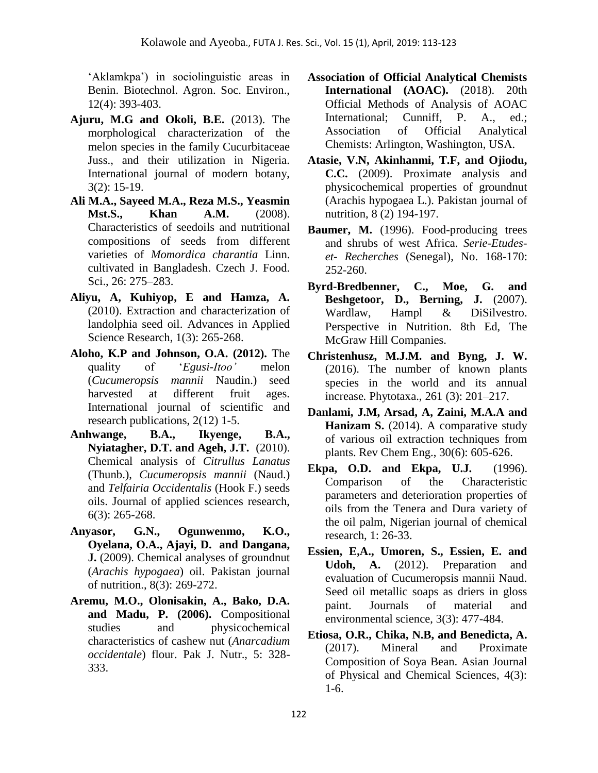'Aklamkpa') in sociolinguistic areas in Benin. Biotechnol. Agron. Soc. Environ., 12(4): 393-403.

- **Ajuru, M.G and Okoli, B.E.** (2013). The morphological characterization of the melon species in the family Cucurbitaceae Juss., and their utilization in Nigeria. International journal of modern botany, 3(2): 15-19.
- **Ali M.A., Sayeed M.A., Reza M.S., Yeasmin Mst.S., Khan A.M.** (2008). Characteristics of seedoils and nutritional compositions of seeds from different varieties of *Momordica charantia* Linn. cultivated in Bangladesh. Czech J. Food. Sci., 26: 275–283.
- **Aliyu, A, Kuhiyop, E and Hamza, A.** (2010). Extraction and characterization of landolphia seed oil. Advances in Applied Science Research, 1(3): 265-268.
- **Aloho, K.P and Johnson, O.A. (2012).** The quality of '*Egusi-Itoo'* melon (*Cucumeropsis mannii* Naudin.) seed harvested at different fruit ages. International journal of scientific and research publications, 2(12) 1-5.
- **Anhwange, B.A., Ikyenge, B.A., Nyiatagher, D.T. and Ageh, J.T.** (2010). Chemical analysis of *Citrullus Lanatus*  (Thunb.), *Cucumeropsis mannii* (Naud.) and *Telfairia Occidentalis* (Hook F.) seeds oils. Journal of applied sciences research, 6(3): 265-268.
- **Anyasor, G.N., Ogunwenmo, K.O., Oyelana, O.A., Ajayi, D. and Dangana, J.** (2009). Chemical analyses of groundnut (*Arachis hypogaea*) oil. Pakistan journal of nutrition., 8(3): 269-272.
- **Aremu, M.O., Olonisakin, A., Bako, D.A. and Madu, P. (2006).** Compositional studies and physicochemical characteristics of cashew nut (*Anarcadium occidentale*) flour. Pak J. Nutr., 5: 328- 333.
- **Association of Official Analytical Chemists International (AOAC).** (2018). 20th Official Methods of Analysis of AOAC International; Cunniff, P. A., ed.; Association of Official Analytical Chemists: Arlington, Washington, USA.
- **Atasie, V.N, Akinhanmi, T.F, and Ojiodu, C.C.** (2009). Proximate analysis and physicochemical properties of groundnut (Arachis hypogaea L.). Pakistan journal of nutrition, 8 (2) 194-197.
- **Baumer, M.** (1996). Food-producing trees and shrubs of west Africa. *Serie-Etudeset- Recherches* (Senegal), No. 168-170: 252-260.
- **Byrd-Bredbenner, C., Moe, G. and Beshgetoor, D., Berning, J.** (2007). Wardlaw, Hampl & DiSilvestro. Perspective in Nutrition. 8th Ed, The McGraw Hill Companies.
- **Christenhusz, M.J.M. and Byng, J. W.** (2016). The number of known plants species in the world and its annual increase*.* Phytotaxa., 261 (3): 201–217.
- **Danlami, J.M, Arsad, A, Zaini, M.A.A and Hanizam S.** (2014). A comparative study of various oil extraction techniques from plants. Rev Chem Eng., 30(6): 605-626.
- **Ekpa, O.D. and Ekpa, U.J.** (1996). Comparison of the Characteristic parameters and deterioration properties of oils from the Tenera and Dura variety of the oil palm, Nigerian journal of chemical research, 1: 26-33.
- **Essien, E,A., Umoren, S., Essien, E. and Udoh, A.** (2012). Preparation and evaluation of Cucumeropsis mannii Naud. Seed oil metallic soaps as driers in gloss paint. Journals of material and environmental science, 3(3): 477-484.
- **Etiosa, O.R., Chika, N.B, and Benedicta, A.** (2017). Mineral and Proximate Composition of Soya Bean. Asian Journal of Physical and Chemical Sciences, 4(3): 1-6.